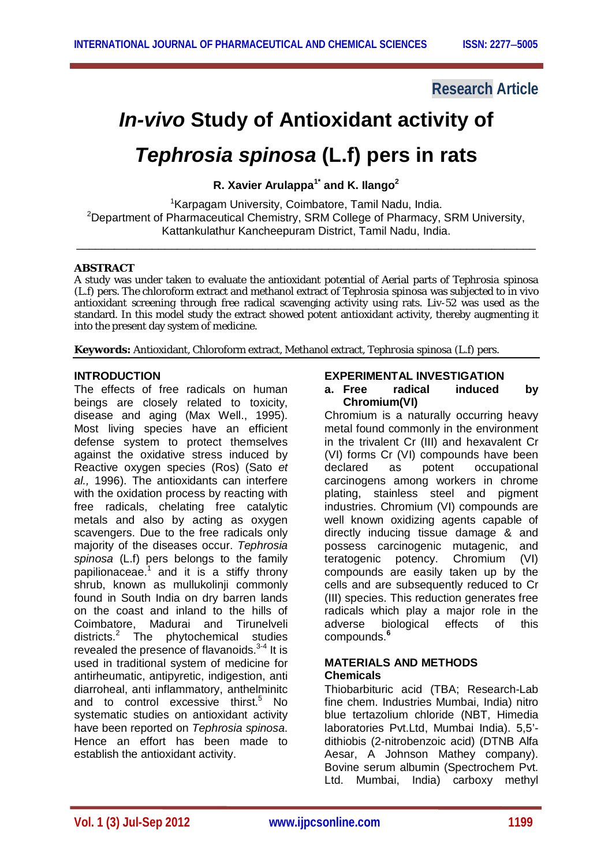### **Research Article**

# *In-vivo* **Study of Antioxidant activity of**

## *Tephrosia spinosa* **(L.f) pers in rats**

**R. Xavier Arulappa1\* and K. Ilango<sup>2</sup>**

<sup>1</sup> Karpagam University, Coimbatore, Tamil Nadu, India. <sup>2</sup>Department of Pharmaceutical Chemistry, SRM College of Pharmacy, SRM University, Kattankulathur Kancheepuram District, Tamil Nadu, India.

\_\_\_\_\_\_\_\_\_\_\_\_\_\_\_\_\_\_\_\_\_\_\_\_\_\_\_\_\_\_\_\_\_\_\_\_\_\_\_\_\_\_\_\_\_\_\_\_\_\_\_\_\_\_\_\_\_\_\_\_\_\_\_\_\_\_\_\_\_\_\_\_\_

#### **ABSTRACT**

A study was under taken to evaluate the antioxidant potential of Aerial parts of *Tephrosia spinosa* (L.f) pers. The chloroform extract and methanol extract of *Tephrosia spinosa* was subjected to in vivo antioxidant screening through free radical scavenging activity using rats. Liv-52 was used as the standard. In this model study the extract showed potent antioxidant activity, thereby augmenting it into the present day system of medicine.

**Keywords:** Antioxidant, Chloroform extract, Methanol extract, *Tephrosia spinosa* (L.f) pers.

#### **INTRODUCTION**

The effects of free radicals on human beings are closely related to toxicity, disease and aging (Max Well., 1995). Most living species have an efficient defense system to protect themselves against the oxidative stress induced by Reactive oxygen species (Ros) (Sato *et al.,* 1996). The antioxidants can interfere with the oxidation process by reacting with free radicals, chelating free catalytic metals and also by acting as oxygen scavengers. Due to the free radicals only majority of the diseases occur. *Tephrosia spinosa* (L.f) pers belongs to the family papilionaceae.<sup>1</sup> and it is a stiffy throny shrub, known as mullukolinji commonly found in South India on dry barren lands on the coast and inland to the hills of Coimbatore, Madurai and Tirunelveli districts.<sup>2</sup> The phytochemical studies revealed the presence of flavanoids.<sup>3-4</sup> It is used in traditional system of medicine for antirheumatic, antipyretic, indigestion, anti diarroheal, anti inflammatory, anthelminitc and to control excessive thirst.<sup>5</sup> No systematic studies on antioxidant activity have been reported on *Tephrosia spinosa*. Hence an effort has been made to establish the antioxidant activity.

#### **EXPERIMENTAL INVESTIGATION**

**a. Free radical induced by Chromium(VI)**

Chromium is a naturally occurring heavy metal found commonly in the environment in the trivalent Cr (III) and hexavalent Cr (VI) forms Cr (VI) compounds have been declared as potent occupational carcinogens among workers in chrome plating, stainless steel and pigment industries. Chromium (VI) compounds are well known oxidizing agents capable of directly inducing tissue damage & and possess carcinogenic mutagenic, and teratogenic potency. Chromium (VI) compounds are easily taken up by the cells and are subsequently reduced to Cr (III) species. This reduction generates free radicals which play a major role in the adverse biological effects of this compounds.**<sup>6</sup>**

#### **MATERIALS AND METHODS Chemicals**

Thiobarbituric acid (TBA; Research-Lab fine chem. Industries Mumbai, India) nitro blue tertazolium chloride (NBT, Himedia laboratories Pvt.Ltd, Mumbai India). 5,5' dithiobis (2-nitrobenzoic acid) (DTNB Alfa Aesar, A Johnson Mathey company). Bovine serum albumin (Spectrochem Pvt. Ltd. Mumbai, India) carboxy methyl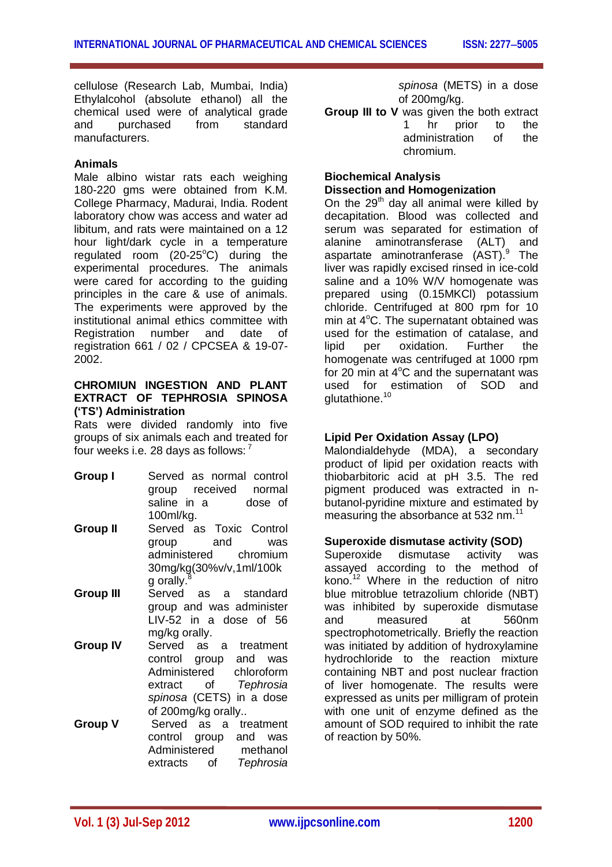cellulose (Research Lab, Mumbai, India) Ethylalcohol (absolute ethanol) all the chemical used were of analytical grade and purchased from standard manufacturers.

#### **Animals**

Male albino wistar rats each weighing 180-220 gms were obtained from K.M. College Pharmacy, Madurai, India. Rodent laboratory chow was access and water ad libitum, and rats were maintained on a 12 hour light/dark cycle in a temperature regulated room  $(20-25^{\circ}C)$  during the experimental procedures. The animals were cared for according to the guiding principles in the care & use of animals. The experiments were approved by the institutional animal ethics committee with Registration number and date of registration 661 / 02 / CPCSEA & 19-07- 2002.

#### **CHROMIUN INGESTION AND PLANT EXTRACT OF TEPHROSIA SPINOSA ('TS') Administration**

Rats were divided randomly into five groups of six animals each and treated for four weeks i.e. 28 days as follows: <sup>7</sup>

- **Group I** Served as normal control group received normal saline in a dose of 100ml/kg.
- **Group II** Served as Toxic Control group and was administered chromium 30mg/kg(30%v/v,1ml/100k g orally.<sup>8</sup>
- **Group III** Served as a standard group and was administer LIV-52 in a dose of 56 mg/kg orally.
- **Group IV** Served as a treatment control group and was Administered chloroform extract of *Tephrosia spinosa* (CETS) in a dose of 200mg/kg orally..
- **Group V** Served as a treatment control group and was<br>Administered methanol Administered extracts of *Tephrosia*

*spinosa* (METS) in a dose of 200mg/kg.

**Group III to V** was given the both extract 1 hr prior to the administration of the chromium.

#### **Biochemical Analysis Dissection and Homogenization**

On the  $29<sup>th</sup>$  day all animal were killed by decapitation. Blood was collected and serum was separated for estimation of alanine aminotransferase (ALT) and aspartate aminotranferase (AST).<sup>9</sup> The liver was rapidly excised rinsed in ice-cold saline and a 10% W/V homogenate was prepared using (0.15MKCl) potassium chloride. Centrifuged at 800 rpm for 10 min at  $4^{\circ}$ C. The supernatant obtained was used for the estimation of catalase, and lipid per oxidation. Further the homogenate was centrifuged at 1000 rpm for 20 min at  $4^{\circ}$ C and the supernatant was used for estimation of SOD and glutathione.<sup>10</sup>

#### **Lipid Per Oxidation Assay (LPO)**

Malondialdehyde (MDA), a secondary product of lipid per oxidation reacts with thiobarbitoric acid at pH 3.5. The red pigment produced was extracted in nbutanol-pyridine mixture and estimated by measuring the absorbance at 532 nm.<sup>11</sup>

#### **Superoxide dismutase activity (SOD)**

Superoxide dismutase activity was assayed according to the method of kono.<sup>12</sup> Where in the reduction of nitro blue mitroblue tetrazolium chloride (NBT) was inhibited by superoxide dismutase and measured at 560nm spectrophotometrically. Briefly the reaction was initiated by addition of hydroxylamine hydrochloride to the reaction mixture containing NBT and post nuclear fraction of liver homogenate. The results were expressed as units per milligram of protein with one unit of enzyme defined as the amount of SOD required to inhibit the rate of reaction by 50%.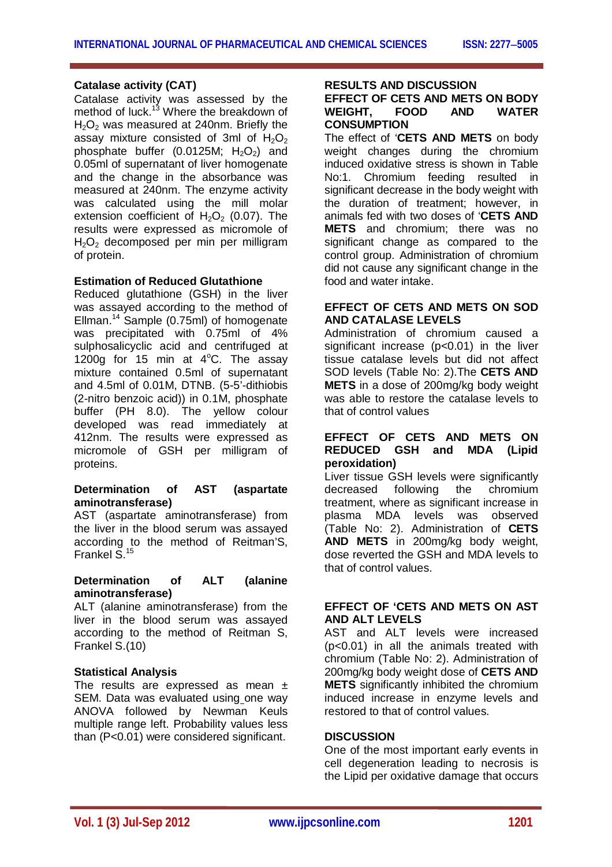#### **Catalase activity (CAT)**

Catalase activity was assessed by the method of luck.<sup>13</sup> Where the breakdown of  $H<sub>2</sub>O<sub>2</sub>$  was measured at 240nm. Briefly the assay mixture consisted of 3ml of  $H_2O_2$ phosphate buffer  $(0.0125M; H<sub>2</sub>O<sub>2</sub>)$  and 0.05ml of supernatant of liver homogenate and the change in the absorbance was measured at 240nm. The enzyme activity was calculated using the mill molar extension coefficient of  $H_2O_2$  (0.07). The results were expressed as micromole of  $H_2O_2$  decomposed per min per milligram of protein.

#### **Estimation of Reduced Glutathione**

Reduced glutathione (GSH) in the liver was assayed according to the method of Ellman. <sup>14</sup> Sample (0.75ml) of homogenate was precipitated with 0.75ml of 4% sulphosalicyclic acid and centrifuged at 1200g for 15 min at  $4^{\circ}$ C. The assay mixture contained 0.5ml of supernatant and 4.5ml of 0.01M, DTNB. (5-5'-dithiobis (2-nitro benzoic acid)) in 0.1M, phosphate buffer (PH 8.0). The yellow colour developed was read immediately at 412nm. The results were expressed as micromole of GSH per milligram of proteins.

#### **Determination of AST (aspartate aminotransferase)**

AST (aspartate aminotransferase) from the liver in the blood serum was assayed according to the method of Reitman'S, Frankel S.<sup>15</sup>

#### **Determination of ALT (alanine aminotransferase)**

ALT (alanine aminotransferase) from the liver in the blood serum was assayed according to the method of Reitman S, Frankel S.(10)

#### **Statistical Analysis**

The results are expressed as mean  $\pm$ SEM. Data was evaluated using one way ANOVA followed by Newman Keuls multiple range left. Probability values less than (P<0.01) were considered significant.

#### **RESULTS AND DISCUSSION**

#### **EFFECT OF CETS AND METS ON BODY WEIGHT, FOOD AND WATER CONSUMPTION**

The effect of '**CETS AND METS** on body weight changes during the chromium induced oxidative stress is shown in Table No:1. Chromium feeding resulted in significant decrease in the body weight with the duration of treatment; however, in animals fed with two doses of '**CETS AND METS** and chromium; there was no significant change as compared to the control group. Administration of chromium did not cause any significant change in the food and water intake.

#### **EFFECT OF CETS AND METS ON SOD AND CATALASE LEVELS**

Administration of chromium caused a significant increase (p<0.01) in the liver tissue catalase levels but did not affect SOD levels (Table No: 2).The **CETS AND METS** in a dose of 200mg/kg body weight was able to restore the catalase levels to that of control values

#### **EFFECT OF CETS AND METS ON REDUCED GSH and MDA (Lipid peroxidation)**

Liver tissue GSH levels were significantly decreased following the chromium treatment, where as significant increase in plasma MDA levels was observed (Table No: 2). Administration of **CETS AND METS** in 200mg/kg body weight, dose reverted the GSH and MDA levels to that of control values.

#### **EFFECT OF 'CETS AND METS ON AST AND ALT LEVELS**

AST and ALT levels were increased (p<0.01) in all the animals treated with chromium (Table No: 2). Administration of 200mg/kg body weight dose of **CETS AND METS** significantly inhibited the chromium induced increase in enzyme levels and restored to that of control values.

#### **DISCUSSION**

One of the most important early events in cell degeneration leading to necrosis is the Lipid per oxidative damage that occurs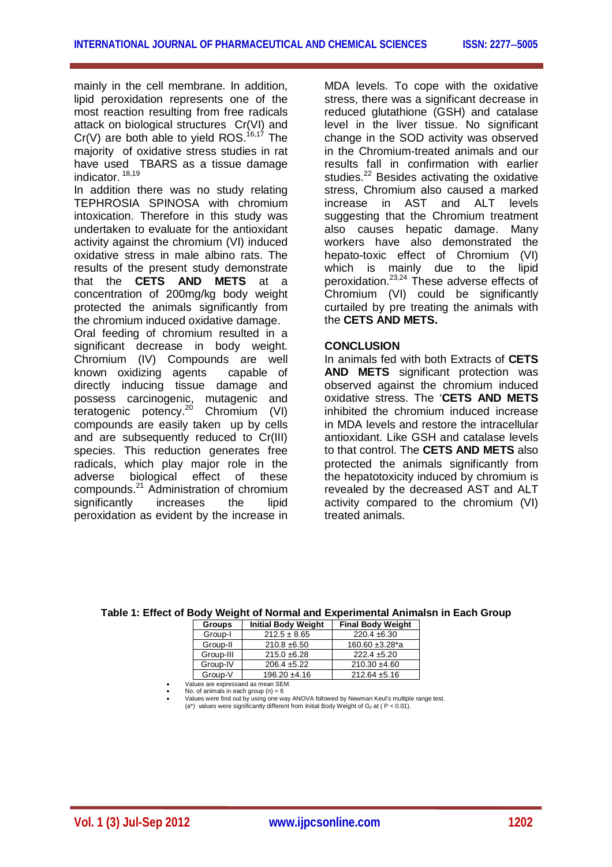mainly in the cell membrane. In addition, lipid peroxidation represents one of the most reaction resulting from free radicals attack on biological structures Cr(VI) and  $Cr(V)$  are both able to yield ROS.<sup>16,17</sup> The majority of oxidative stress studies in rat have used TBARS as a tissue damage indicator. 18,19

In addition there was no study relating TEPHROSIA SPINOSA with chromium intoxication. Therefore in this study was undertaken to evaluate for the antioxidant activity against the chromium (VI) induced oxidative stress in male albino rats. The results of the present study demonstrate that the **CETS AND METS** at a concentration of 200mg/kg body weight protected the animals significantly from the chromium induced oxidative damage.

Oral feeding of chromium resulted in a significant decrease in body weight. Chromium (IV) Compounds are well known oxidizing agents capable of directly inducing tissue damage and possess carcinogenic, mutagenic and teratogenic potency.<sup>20</sup> Chromium (VI) compounds are easily taken up by cells and are subsequently reduced to Cr(III) species. This reduction generates free radicals, which play major role in the adverse biological effect of these compounds.<sup>21</sup> Administration of chromium significantly increases the lipid peroxidation as evident by the increase in

MDA levels. To cope with the oxidative stress, there was a significant decrease in reduced glutathione (GSH) and catalase level in the liver tissue. No significant change in the SOD activity was observed in the Chromium-treated animals and our results fall in confirmation with earlier studies.<sup>22</sup> Besides activating the oxidative stress, Chromium also caused a marked increase in AST and ALT levels suggesting that the Chromium treatment also causes hepatic damage. Many workers have also demonstrated the hepato-toxic effect of Chromium (VI) which is mainly due to the lipid peroxidation.<sup>23,24</sup> These adverse effects of Chromium (VI) could be significantly curtailed by pre treating the animals with the **CETS AND METS.** 

#### **CONCLUSION**

In animals fed with both Extracts of **CETS AND METS** significant protection was observed against the chromium induced oxidative stress. The '**CETS AND METS**  inhibited the chromium induced increase in MDA levels and restore the intracellular antioxidant. Like GSH and catalase levels to that control. The **CETS AND METS** also protected the animals significantly from the hepatotoxicity induced by chromium is revealed by the decreased AST and ALT activity compared to the chromium (VI) treated animals.

| Table 1: Effect of Body Weight of Normal and Experimental Animalsn in Each Group |               |                                       |  |  |  |  |  |  |
|----------------------------------------------------------------------------------|---------------|---------------------------------------|--|--|--|--|--|--|
|                                                                                  | <b>Groups</b> | Initial Body Weight Final Body Weight |  |  |  |  |  |  |

| Givups    | <b>IIIIIIAI DUUY IIGIYIII</b> |                   |  |  |  |
|-----------|-------------------------------|-------------------|--|--|--|
| Group-I   | $212.5 \pm 8.65$              | $220.4 \pm 6.30$  |  |  |  |
| Group-II  | $210.8 + 6.50$                | 160.60 ±3.28*a    |  |  |  |
| Group-III | $215.0 \pm 6.28$              | $222.4 \pm 5.20$  |  |  |  |
| Group-IV  | $206.4 \pm 5.22$              | $210.30 \pm 4.60$ |  |  |  |
| Group-V   | $196.20 \pm 4.16$             | $212.64 \pm 5.16$ |  |  |  |
|           |                               |                   |  |  |  |

Values are expressaed as mean SEM. No. of animals in each group (n) = 6

Values were find out by using one way ANOVA followed by Newman Keul's multiple range test. (a\*) values were significantly different from Initial Body Weight of G<sup>2</sup> at ( P < 0.01).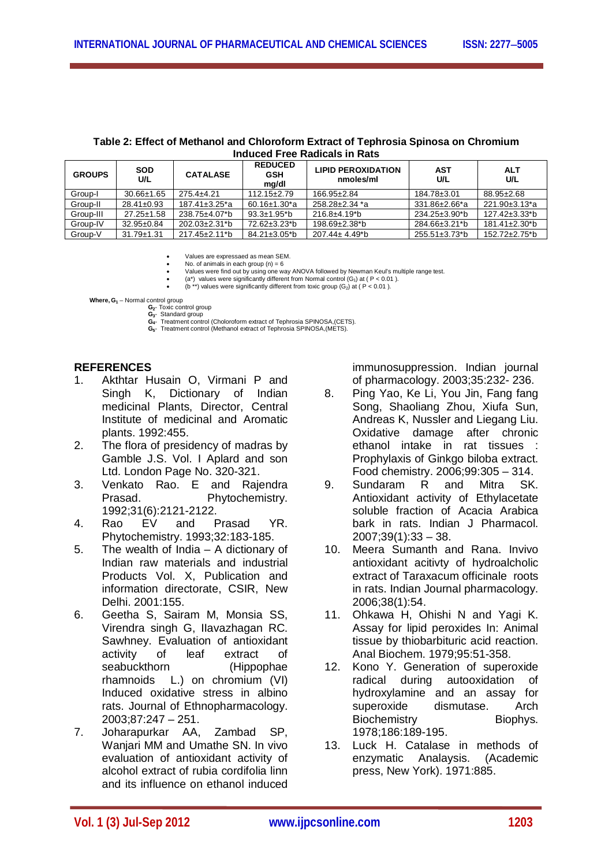| Induced Free Radicals in Rats |                   |                                  |                                       |                                        |               |                                  |  |  |  |
|-------------------------------|-------------------|----------------------------------|---------------------------------------|----------------------------------------|---------------|----------------------------------|--|--|--|
| <b>GROUPS</b>                 | <b>SOD</b><br>U/L | <b>CATALASE</b>                  | <b>REDUCED</b><br><b>GSH</b><br>mg/dl | <b>LIPID PEROXIDATION</b><br>nmoles/ml | AST<br>U/L    | <b>ALT</b><br>U/L                |  |  |  |
| Group-I                       | $30.66 \pm 1.65$  | $275.4 + 4.21$                   | $112.15 \pm 2.79$                     | 166.95±2.84                            | 184.78±3.01   | 88.95±2.68                       |  |  |  |
| Group-II                      | $28.41 \pm 0.93$  | $187.41 \pm 3.25$ <sup>*</sup> a | $60.16 \pm 1.30^*$ a                  | $258.28 + 2.34$ *a                     | 331.86±2.66*a | 221.90±3.13*a                    |  |  |  |
| Group-III                     | $27.25 \pm 1.58$  | 238.75±4.07*b                    | 93.3±1.95*b                           | $216.8 + 4.19^{*}b$                    | 234.25±3.90*b | $127.42 \pm 3.33$ <sup>*</sup> b |  |  |  |

### **Table 2: Effect of Methanol and Chloroform Extract of Tephrosia Spinosa on Chromium**

Values are expressaed as mean SEM.

 $\bullet$  No. of animals in each group  $(n) = 6$ Values were find out by using one way ANOVA followed by Newman Keul's multiple range test.

Group-IV 32.95±0.84 202.03±2.31\*b 72.62±3.23\*b 198.69±2.38\*b 284.66±3.21\*b 181.41±2.30\*b Group-V 31.79±1.31 217.45±2.11\*b 84.21±3.05\*b 207.44± 4.49\*b 255.51±3.73\*b 152.72±2.75\*b

• (a\*) values were significantly different from Normal control (G<sub>1</sub>) at ( P < 0.01 ).<br>• (b \*\*) values were significantly different from toxic group (G<sub>2</sub>) at ( P < 0.01 ).

 **Where, G<sup>1</sup>** – Normal control group

**G2**- Toxic control group **G3**- Standard group **G4**- Treatment control (Choloroform extract of Tephrosia SPINOSA,(CETS).

**G5**- Treatment control (Methanol extract of Tephrosia SPINOSA,(METS).

#### **REFERENCES**

- 1. Akthtar Husain O, Virmani P and Singh K, Dictionary of Indian medicinal Plants, Director, Central Institute of medicinal and Aromatic plants. 1992:455.
- 2. The flora of presidency of madras by Gamble J.S. Vol. I Aplard and son Ltd. London Page No. 320-321.
- 3. Venkato Rao. E and Rajendra Prasad. Phytochemistry. 1992;31(6):2121-2122.
- 4. Rao EV and Prasad YR. Phytochemistry. 1993;32:183-185.
- 5. The wealth of India A dictionary of Indian raw materials and industrial Products Vol. X, Publication and information directorate, CSIR, New Delhi. 2001:155.
- 6. Geetha S, Sairam M, Monsia SS, Virendra singh G, IIavazhagan RC. Sawhney. Evaluation of antioxidant activity of leaf extract of seabuckthorn (Hippophae rhamnoids L.) on chromium (VI) Induced oxidative stress in albino rats. Journal of Ethnopharmacology. 2003;87:247 – 251.
- 7. Joharapurkar AA, Zambad SP, Wanjari MM and Umathe SN. In vivo evaluation of antioxidant activity of alcohol extract of rubia cordifolia linn and its influence on ethanol induced

immunosuppression. Indian journal of pharmacology. 2003;35:232- 236.

- 8. Ping Yao, Ke Li, You Jin, Fang fang Song, Shaoliang Zhou, Xiufa Sun, Andreas K, Nussler and Liegang Liu. Oxidative damage after chronic ethanol intake in rat tissues : Prophylaxis of Ginkgo biloba extract. Food chemistry. 2006;99:305 – 314.
- 9. Sundaram R and Mitra SK. Antioxidant activity of Ethylacetate soluble fraction of Acacia Arabica bark in rats. Indian J Pharmacol.  $2007;39(1):33 - 38.$
- 10. Meera Sumanth and Rana. Invivo antioxidant acitivty of hydroalcholic extract of Taraxacum officinale roots in rats. Indian Journal pharmacology. 2006;38(1):54.
- 11. Ohkawa H, Ohishi N and Yagi K. Assay for lipid peroxides In: Animal tissue by thiobarbituric acid reaction. Anal Biochem. 1979;95:51-358.
- 12. Kono Y. Generation of superoxide radical during autooxidation of hydroxylamine and an assay for superoxide dismutase. Arch Biochemistry Biophys. 1978;186:189-195.
- 13. Luck H. Catalase in methods of enzymatic Analaysis. (Academic press, New York). 1971:885.